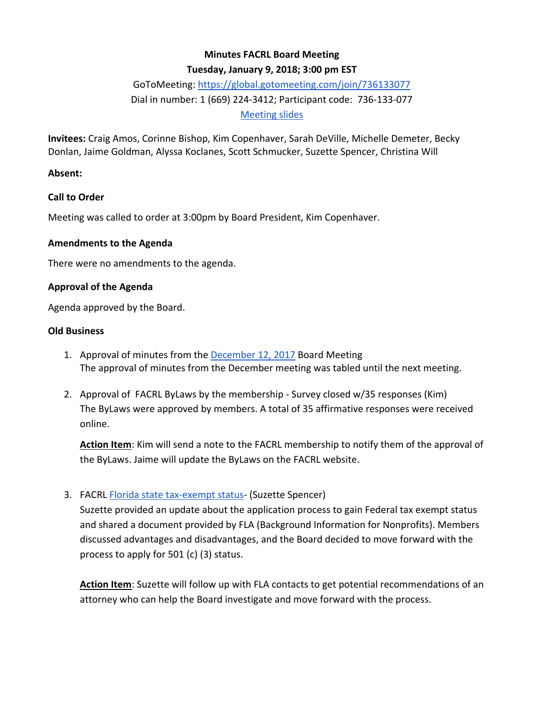# **Minutes FACRL Board Meeting**

## **Tuesday, January 9, 2018; 3:00 pm EST**

# GoToMeeting:<https://global.gotomeeting.com/join/736133077> Dial in number: 1 (669) 224-3412; Participant code: 736-133-077 [Meeting slides](https://docs.google.com/presentation/d/1c6ywG_iKiSQhbW0nyos1vn0tV5axsCiyrSTiIu5vlY0/edit?usp=sharing)

**Invitees:** Craig Amos, Corinne Bishop, Kim Copenhaver, Sarah DeVille, Michelle Demeter, Becky Donlan, Jaime Goldman, Alyssa Koclanes, Scott Schmucker, Suzette Spencer, Christina Will

## **Absent:**

## **Call to Order**

Meeting was called to order at 3:00pm by Board President, Kim Copenhaver.

#### **Amendments to the Agenda**

There were no amendments to the agenda.

#### **Approval of the Agenda**

Agenda approved by the Board.

#### **Old Business**

- 1. Approval of minutes from the [December 12,](https://docs.google.com/document/d/1vWcJE6unwm5oJ9SsZ-Ra32G2-U-cPO0cYAS1zutD_a0/edit?usp=sharing) 2017 Board Meeting The approval of minutes from the December meeting was tabled until the next meeting.
- 2. Approval of FACRL ByLaws by the membership Survey closed w/35 responses (Kim) The ByLaws were approved by members. A total of 35 affirmative responses were received online.

**Action Item**: Kim will send a note to the FACRL membership to notify them of the approval of the ByLaws. Jaime will update the ByLaws on the FACRL website.

## 3. FACRL [Florida state tax-exempt status-](https://fla.memberclicks.net/assets/Friends/bkgrndinfofriendsnonprofits2017.pdf) (Suzette Spencer)

Suzette provided an update about the application process to gain Federal tax exempt status and shared a document provided by FLA (Background Information for Nonprofits). Members discussed advantages and disadvantages, and the Board decided to move forward with the process to apply for 501 (c) (3) status.

**Action Item**: Suzette will follow up with FLA contacts to get potential recommendations of an attorney who can help the Board investigate and move forward with the process.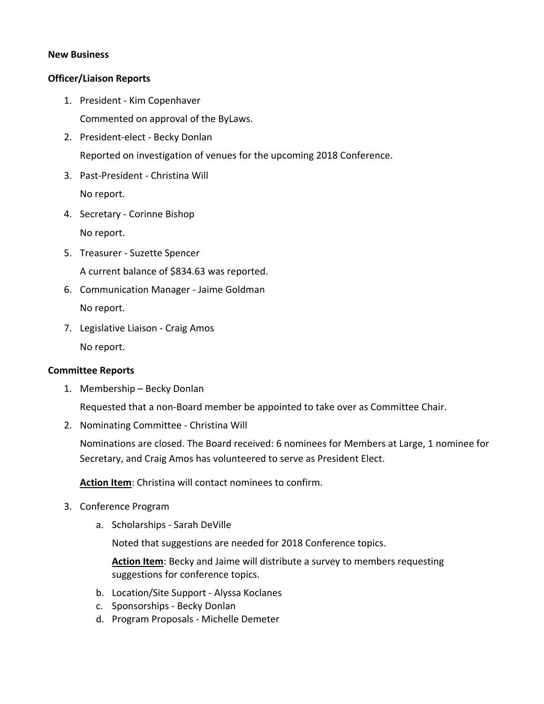#### **New Business**

## **Officer/Liaison Reports**

- 1. President Kim Copenhaver Commented on approval of the ByLaws.
- 2. President-elect Becky Donlan Reported on investigation of venues for the upcoming 2018 Conference.
- 3. Past-President Christina Will No report.
- 4. Secretary Corinne Bishop No report.
- 5. Treasurer Suzette Spencer A current balance of \$834.63 was reported.
- 6. Communication Manager Jaime Goldman No report.
- 7. Legislative Liaison Craig Amos No report.

#### **Committee Reports**

1. Membership – Becky Donlan

Requested that a non-Board member be appointed to take over as Committee Chair.

2. Nominating Committee - Christina Will

Nominations are closed. The Board received: 6 nominees for Members at Large, 1 nominee for Secretary, and Craig Amos has volunteered to serve as President Elect.

**Action Item**: Christina will contact nominees to confirm.

- 3. Conference Program
	- a. Scholarships Sarah DeVille

Noted that suggestions are needed for 2018 Conference topics.

Action Item: Becky and Jaime will distribute a survey to members requesting suggestions for conference topics.

- b. Location/Site Support Alyssa Koclanes
- c. Sponsorships Becky Donlan
- d. Program Proposals Michelle Demeter